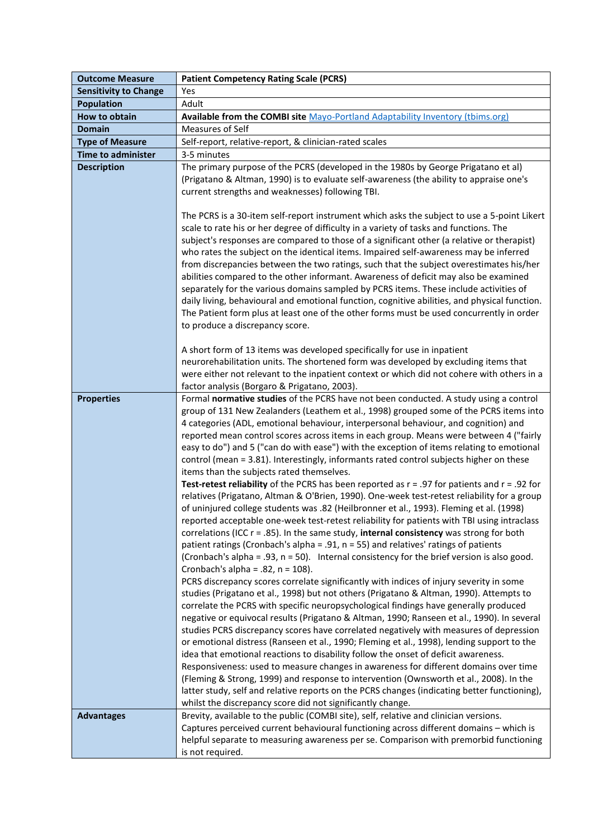| <b>Outcome Measure</b>       | <b>Patient Competency Rating Scale (PCRS)</b>                                                                                                                                                                                                                                                                                                                                                                                                                                                                                                                                                                                                                                                                                                                                                                                                                                                                                                                                                                                                                                                                                                                                                                                                                                                                                                                                                                                                                                                                                                                                                                                                                                                                                                                                                                                                                                                                                                                                                                                                                                                                                                                                                                                                                                                                                                   |
|------------------------------|-------------------------------------------------------------------------------------------------------------------------------------------------------------------------------------------------------------------------------------------------------------------------------------------------------------------------------------------------------------------------------------------------------------------------------------------------------------------------------------------------------------------------------------------------------------------------------------------------------------------------------------------------------------------------------------------------------------------------------------------------------------------------------------------------------------------------------------------------------------------------------------------------------------------------------------------------------------------------------------------------------------------------------------------------------------------------------------------------------------------------------------------------------------------------------------------------------------------------------------------------------------------------------------------------------------------------------------------------------------------------------------------------------------------------------------------------------------------------------------------------------------------------------------------------------------------------------------------------------------------------------------------------------------------------------------------------------------------------------------------------------------------------------------------------------------------------------------------------------------------------------------------------------------------------------------------------------------------------------------------------------------------------------------------------------------------------------------------------------------------------------------------------------------------------------------------------------------------------------------------------------------------------------------------------------------------------------------------------|
| <b>Sensitivity to Change</b> | Yes                                                                                                                                                                                                                                                                                                                                                                                                                                                                                                                                                                                                                                                                                                                                                                                                                                                                                                                                                                                                                                                                                                                                                                                                                                                                                                                                                                                                                                                                                                                                                                                                                                                                                                                                                                                                                                                                                                                                                                                                                                                                                                                                                                                                                                                                                                                                             |
| <b>Population</b>            | Adult                                                                                                                                                                                                                                                                                                                                                                                                                                                                                                                                                                                                                                                                                                                                                                                                                                                                                                                                                                                                                                                                                                                                                                                                                                                                                                                                                                                                                                                                                                                                                                                                                                                                                                                                                                                                                                                                                                                                                                                                                                                                                                                                                                                                                                                                                                                                           |
| How to obtain                | Available from the COMBI site Mayo-Portland Adaptability Inventory (tbims.org)                                                                                                                                                                                                                                                                                                                                                                                                                                                                                                                                                                                                                                                                                                                                                                                                                                                                                                                                                                                                                                                                                                                                                                                                                                                                                                                                                                                                                                                                                                                                                                                                                                                                                                                                                                                                                                                                                                                                                                                                                                                                                                                                                                                                                                                                  |
| <b>Domain</b>                | Measures of Self                                                                                                                                                                                                                                                                                                                                                                                                                                                                                                                                                                                                                                                                                                                                                                                                                                                                                                                                                                                                                                                                                                                                                                                                                                                                                                                                                                                                                                                                                                                                                                                                                                                                                                                                                                                                                                                                                                                                                                                                                                                                                                                                                                                                                                                                                                                                |
| <b>Type of Measure</b>       | Self-report, relative-report, & clinician-rated scales                                                                                                                                                                                                                                                                                                                                                                                                                                                                                                                                                                                                                                                                                                                                                                                                                                                                                                                                                                                                                                                                                                                                                                                                                                                                                                                                                                                                                                                                                                                                                                                                                                                                                                                                                                                                                                                                                                                                                                                                                                                                                                                                                                                                                                                                                          |
| <b>Time to administer</b>    | 3-5 minutes                                                                                                                                                                                                                                                                                                                                                                                                                                                                                                                                                                                                                                                                                                                                                                                                                                                                                                                                                                                                                                                                                                                                                                                                                                                                                                                                                                                                                                                                                                                                                                                                                                                                                                                                                                                                                                                                                                                                                                                                                                                                                                                                                                                                                                                                                                                                     |
| <b>Description</b>           | The primary purpose of the PCRS (developed in the 1980s by George Prigatano et al)<br>(Prigatano & Altman, 1990) is to evaluate self-awareness (the ability to appraise one's<br>current strengths and weaknesses) following TBI.<br>The PCRS is a 30-item self-report instrument which asks the subject to use a 5-point Likert<br>scale to rate his or her degree of difficulty in a variety of tasks and functions. The<br>subject's responses are compared to those of a significant other (a relative or therapist)<br>who rates the subject on the identical items. Impaired self-awareness may be inferred<br>from discrepancies between the two ratings, such that the subject overestimates his/her<br>abilities compared to the other informant. Awareness of deficit may also be examined<br>separately for the various domains sampled by PCRS items. These include activities of                                                                                                                                                                                                                                                                                                                                                                                                                                                                                                                                                                                                                                                                                                                                                                                                                                                                                                                                                                                                                                                                                                                                                                                                                                                                                                                                                                                                                                                   |
|                              | daily living, behavioural and emotional function, cognitive abilities, and physical function.<br>The Patient form plus at least one of the other forms must be used concurrently in order<br>to produce a discrepancy score.<br>A short form of 13 items was developed specifically for use in inpatient<br>neurorehabilitation units. The shortened form was developed by excluding items that<br>were either not relevant to the inpatient context or which did not cohere with others in a<br>factor analysis (Borgaro & Prigatano, 2003).                                                                                                                                                                                                                                                                                                                                                                                                                                                                                                                                                                                                                                                                                                                                                                                                                                                                                                                                                                                                                                                                                                                                                                                                                                                                                                                                                                                                                                                                                                                                                                                                                                                                                                                                                                                                   |
| <b>Properties</b>            | Formal normative studies of the PCRS have not been conducted. A study using a control<br>group of 131 New Zealanders (Leathem et al., 1998) grouped some of the PCRS items into<br>4 categories (ADL, emotional behaviour, interpersonal behaviour, and cognition) and<br>reported mean control scores across items in each group. Means were between 4 ("fairly<br>easy to do") and 5 ("can do with ease") with the exception of items relating to emotional<br>control (mean = 3.81). Interestingly, informants rated control subjects higher on these<br>items than the subjects rated themselves.<br><b>Test-retest reliability</b> of the PCRS has been reported as $r = .97$ for patients and $r = .92$ for<br>relatives (Prigatano, Altman & O'Brien, 1990). One-week test-retest reliability for a group<br>of uninjured college students was .82 (Heilbronner et al., 1993). Fleming et al. (1998)<br>reported acceptable one-week test-retest reliability for patients with TBI using intraclass<br>correlations (ICC $r = .85$ ). In the same study, internal consistency was strong for both<br>patient ratings (Cronbach's alpha = .91, n = 55) and relatives' ratings of patients<br>(Cronbach's alpha = .93, n = 50). Internal consistency for the brief version is also good.<br>Cronbach's alpha = $.82$ , n = 108).<br>PCRS discrepancy scores correlate significantly with indices of injury severity in some<br>studies (Prigatano et al., 1998) but not others (Prigatano & Altman, 1990). Attempts to<br>correlate the PCRS with specific neuropsychological findings have generally produced<br>negative or equivocal results (Prigatano & Altman, 1990; Ranseen et al., 1990). In several<br>studies PCRS discrepancy scores have correlated negatively with measures of depression<br>or emotional distress (Ranseen et al., 1990; Fleming et al., 1998), lending support to the<br>idea that emotional reactions to disability follow the onset of deficit awareness.<br>Responsiveness: used to measure changes in awareness for different domains over time<br>(Fleming & Strong, 1999) and response to intervention (Ownsworth et al., 2008). In the<br>latter study, self and relative reports on the PCRS changes (indicating better functioning),<br>whilst the discrepancy score did not significantly change. |
| <b>Advantages</b>            | Brevity, available to the public (COMBI site), self, relative and clinician versions.<br>Captures perceived current behavioural functioning across different domains - which is<br>helpful separate to measuring awareness per se. Comparison with premorbid functioning<br>is not required.                                                                                                                                                                                                                                                                                                                                                                                                                                                                                                                                                                                                                                                                                                                                                                                                                                                                                                                                                                                                                                                                                                                                                                                                                                                                                                                                                                                                                                                                                                                                                                                                                                                                                                                                                                                                                                                                                                                                                                                                                                                    |